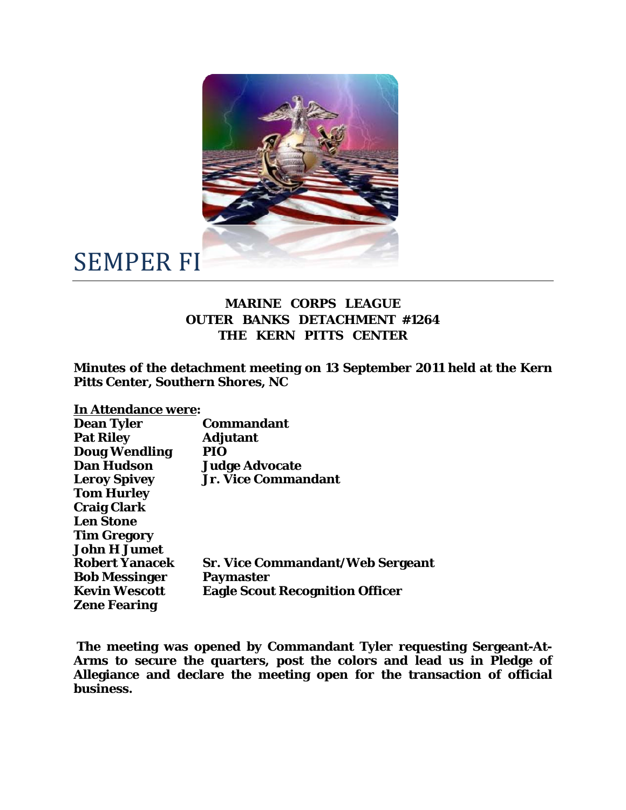

## SEMPER FI

## **MARINE CORPS LEAGUE OUTER BANKS DETACHMENT #1264 THE KERN PITTS CENTER**

**Minutes of the detachment meeting on 13 September 2011 held at the Kern Pitts Center, Southern Shores, NC** 

**In Attendance were:** 

| <b>Dean Tyler</b>     | <b>Commandant</b>                       |
|-----------------------|-----------------------------------------|
| <b>Pat Riley</b>      | <b>Adjutant</b>                         |
| <b>Doug Wendling</b>  | <b>PIO</b>                              |
| <b>Dan Hudson</b>     | <b>Judge Advocate</b>                   |
| <b>Leroy Spivey</b>   | <b>Jr. Vice Commandant</b>              |
| <b>Tom Hurley</b>     |                                         |
| <b>Craig Clark</b>    |                                         |
| <b>Len Stone</b>      |                                         |
| <b>Tim Gregory</b>    |                                         |
| <b>John H Jumet</b>   |                                         |
| <b>Robert Yanacek</b> | <b>Sr. Vice Commandant/Web Sergeant</b> |
| <b>Bob Messinger</b>  | <b>Paymaster</b>                        |
| <b>Kevin Wescott</b>  | <b>Eagle Scout Recognition Officer</b>  |
| <b>Zene Fearing</b>   |                                         |

 **The meeting was opened by Commandant Tyler requesting Sergeant-At-Arms to secure the quarters, post the colors and lead us in Pledge of Allegiance and declare the meeting open for the transaction of official business.**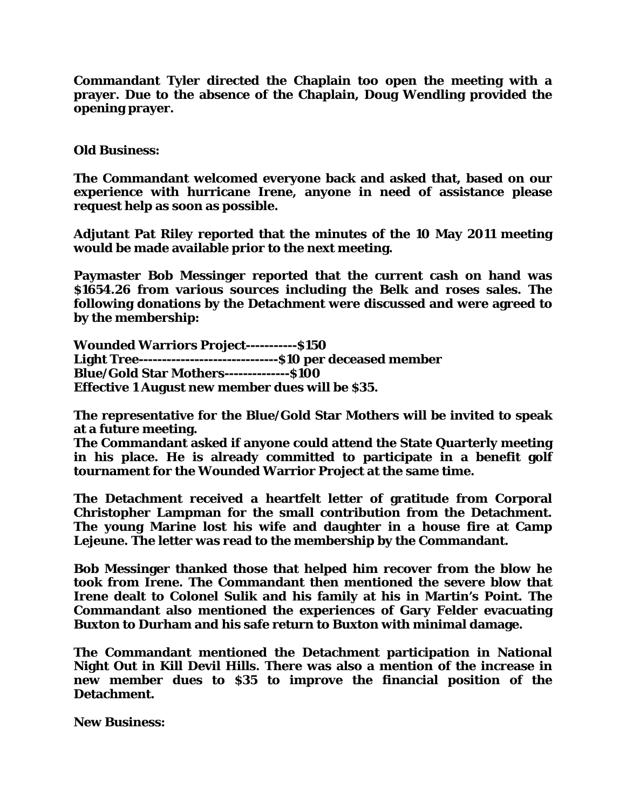**Commandant Tyler directed the Chaplain too open the meeting with a prayer. Due to the absence of the Chaplain, Doug Wendling provided the opening prayer.** 

## **Old Business:**

**The Commandant welcomed everyone back and asked that, based on our experience with hurricane Irene, anyone in need of assistance please request help as soon as possible.** 

**Adjutant Pat Riley reported that the minutes of the 10 May 2011 meeting would be made available prior to the next meeting.** 

**Paymaster Bob Messinger reported that the current cash on hand was \$1654.26 from various sources including the Belk and roses sales. The following donations by the Detachment were discussed and were agreed to by the membership:** 

**Wounded Warriors Project-----------\$150 Light Tree------------------------------\$10 per deceased member Blue/Gold Star Mothers--------------\$100 Effective 1 August new member dues will be \$35.** 

**The representative for the Blue/Gold Star Mothers will be invited to speak at a future meeting.** 

**The Commandant asked if anyone could attend the State Quarterly meeting in his place. He is already committed to participate in a benefit golf tournament for the Wounded Warrior Project at the same time.** 

**The Detachment received a heartfelt letter of gratitude from Corporal Christopher Lampman for the small contribution from the Detachment. The young Marine lost his wife and daughter in a house fire at Camp Lejeune. The letter was read to the membership by the Commandant.** 

**Bob Messinger thanked those that helped him recover from the blow he took from Irene. The Commandant then mentioned the severe blow that Irene dealt to Colonel Sulik and his family at his in Martin's Point. The Commandant also mentioned the experiences of Gary Felder evacuating Buxton to Durham and his safe return to Buxton with minimal damage.** 

**The Commandant mentioned the Detachment participation in National Night Out in Kill Devil Hills. There was also a mention of the increase in new member dues to \$35 to improve the financial position of the Detachment.** 

**New Business:**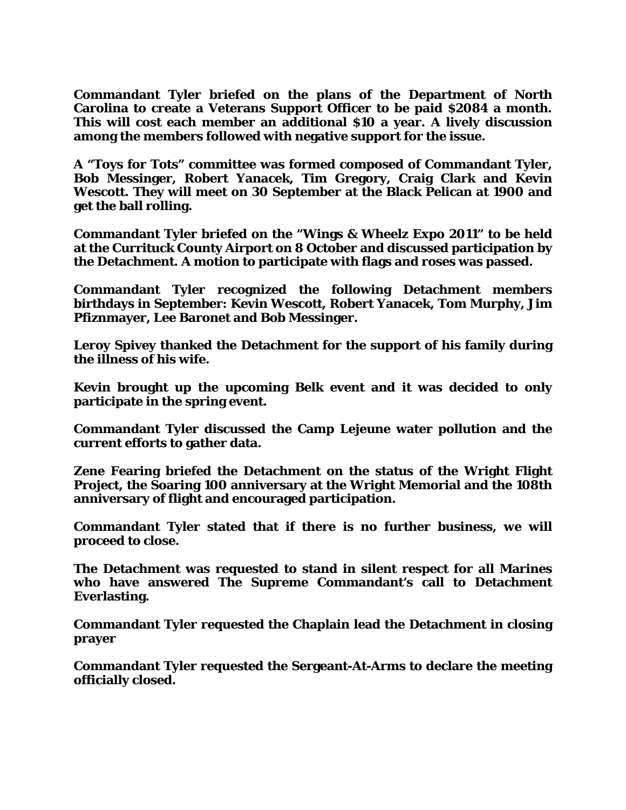**Commandant Tyler briefed on the plans of the Department of North Carolina to create a Veterans Support Officer to be paid \$2084 a month. This will cost each member an additional \$10 a year. A lively discussion among the members followed with negative support for the issue.** 

**A "Toys for Tots" committee was formed composed of Commandant Tyler, Bob Messinger, Robert Yanacek, Tim Gregory, Craig Clark and Kevin Wescott. They will meet on 30 September at the Black Pelican at 1900 and get the ball rolling.** 

**Commandant Tyler briefed on the "Wings & Wheelz Expo 2011" to be held at the Currituck County Airport on 8 October and discussed participation by the Detachment. A motion to participate with flags and roses was passed.** 

**Commandant Tyler recognized the following Detachment members birthdays in September: Kevin Wescott, Robert Yanacek, Tom Murphy, Jim Pfiznmayer, Lee Baronet and Bob Messinger.** 

**Leroy Spivey thanked the Detachment for the support of his family during the illness of his wife.** 

**Kevin brought up the upcoming Belk event and it was decided to only participate in the spring event.** 

**Commandant Tyler discussed the Camp Lejeune water pollution and the current efforts to gather data.** 

**Zene Fearing briefed the Detachment on the status of the Wright Flight Project, the Soaring 100 anniversary at the Wright Memorial and the 108th anniversary of flight and encouraged participation.** 

**Commandant Tyler stated that if there is no further business, we will proceed to close.** 

**The Detachment was requested to stand in silent respect for all Marines who have answered The Supreme Commandant's call to Detachment Everlasting.** 

**Commandant Tyler requested the Chaplain lead the Detachment in closing prayer** 

**Commandant Tyler requested the Sergeant-At-Arms to declare the meeting officially closed.**